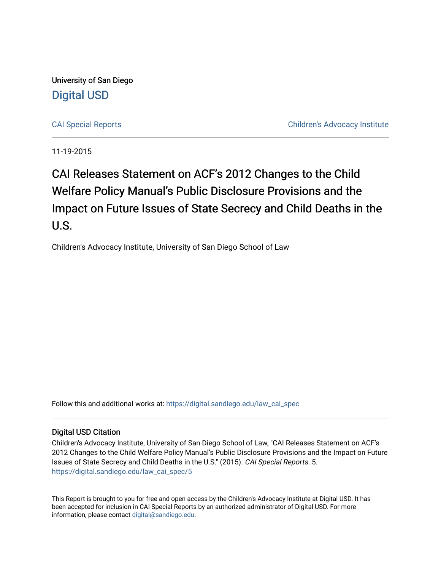University of San Diego [Digital USD](https://digital.sandiego.edu/)

[CAI Special Reports](https://digital.sandiego.edu/law_cai_spec) [Children's Advocacy Institute](https://digital.sandiego.edu/law_cai) 

11-19-2015

# CAI Releases Statement on ACF's 2012 Changes to the Child Welfare Policy Manual's Public Disclosure Provisions and the Impact on Future Issues of State Secrecy and Child Deaths in the U.S.

Children's Advocacy Institute, University of San Diego School of Law

Follow this and additional works at: [https://digital.sandiego.edu/law\\_cai\\_spec](https://digital.sandiego.edu/law_cai_spec?utm_source=digital.sandiego.edu%2Flaw_cai_spec%2F5&utm_medium=PDF&utm_campaign=PDFCoverPages) 

#### Digital USD Citation

Children's Advocacy Institute, University of San Diego School of Law, "CAI Releases Statement on ACF's 2012 Changes to the Child Welfare Policy Manual's Public Disclosure Provisions and the Impact on Future Issues of State Secrecy and Child Deaths in the U.S." (2015). CAI Special Reports. 5. [https://digital.sandiego.edu/law\\_cai\\_spec/5](https://digital.sandiego.edu/law_cai_spec/5?utm_source=digital.sandiego.edu%2Flaw_cai_spec%2F5&utm_medium=PDF&utm_campaign=PDFCoverPages) 

This Report is brought to you for free and open access by the Children's Advocacy Institute at Digital USD. It has been accepted for inclusion in CAI Special Reports by an authorized administrator of Digital USD. For more information, please contact [digital@sandiego.edu.](mailto:digital@sandiego.edu)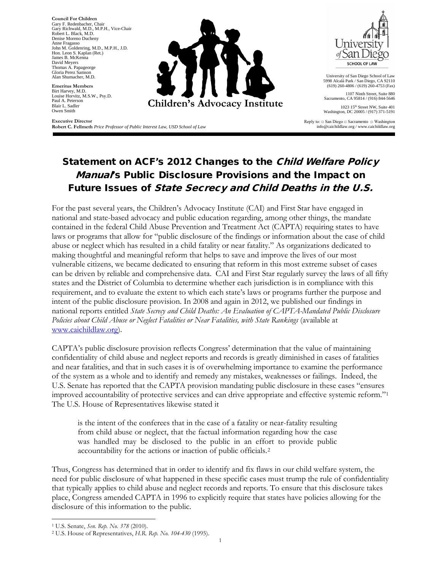**Executive Director Council For Children** Gary F. Redenbacher, Chair Gary Richwald, M.D., M.P.H., Vice-Chair Robert L. Black, M.D. Denise Moreno Ducheny Anne Fragasso John M. Goldenring, M.D., M.P.H., J.D. Hon. Leon S. Kaplan (Ret.) James B. McKenna David Meyers Thomas A. Papageorge Gloria Perez Samson Alan Shumacher, M.D.

**Emeritus Members** Birt Harvey, M.D. Louise Horvitz, M.S.W., Psy.D. Paul A. Peterson Blair L. Sadler Owen Smith

**Executive Director Robert C. Fellmeth** *Price Professor of Public Interest Law, USD School of Law*





University of San Diego School of Law 5998 Alcalá Park / San Diego, CA 92110 (619) 260-4806 / (619) 260-4753 (Fax)

1107 Ninth Street, Suite 880 Sacramento, CA 95814 / (916) 844-5646 1023 15<sup>th</sup> Street NW, Suite 401

Washington, DC 20005 / (917) 371-5191

Reply to: □ San Diego □ Sacramento □ Washington info@caichildlaw.org / www.caichildlaw.org

## Statement on ACF's 2012 Changes to the *Child Welfare Policy* Manual's Public Disclosure Provisions and the Impact on Future Issues of State Secrecy and Child Deaths in the U.S.

For the past several years, the Children's Advocacy Institute (CAI) and First Star have engaged in national and state-based advocacy and public education regarding, among other things, the mandate contained in the federal Child Abuse Prevention and Treatment Act (CAPTA) requiring states to have laws or programs that allow for "public disclosure of the findings or information about the case of child abuse or neglect which has resulted in a child fatality or near fatality." As organizations dedicated to making thoughtful and meaningful reform that helps to save and improve the lives of our most vulnerable citizens, we became dedicated to ensuring that reform in this most extreme subset of cases can be driven by reliable and comprehensive data. CAI and First Star regularly survey the laws of all fifty states and the District of Columbia to determine whether each jurisdiction is in compliance with this requirement, and to evaluate the extent to which each state's laws or programs further the purpose and intent of the public disclosure provision. In 2008 and again in 2012, we published our findings in national reports entitled *State Secrecy and Child Deaths: An Evaluation of CAPTA-Mandated Public Disclosure Policies about Child Abuse or Neglect Fatalities or Near Fatalities, with State Rankings* (available at [www.caichildlaw.org\)](http://www.caichildlaw.org/).

CAPTA's public disclosure provision reflects Congress' determination that the value of maintaining confidentiality of child abuse and neglect reports and records is greatly diminished in cases of fatalities and near fatalities, and that in such cases it is of overwhelming importance to examine the performance of the system as a whole and to identify and remedy any mistakes, weaknesses or failings. Indeed, the U.S. Senate has reported that the CAPTA provision mandating public disclosure in these cases "ensures improved accountability of protective services and can drive appropriate and effective systemic reform."[1](#page-1-0) The U.S. House of Representatives likewise stated it

is the intent of the conferees that in the case of a fatality or near-fatality resulting from child abuse or neglect, that the factual information regarding how the case was handled may be disclosed to the public in an effort to provide public accountability for the actions or inaction of public officials.[2](#page-1-1)

Thus, Congress has determined that in order to identify and fix flaws in our child welfare system, the need for public disclosure of what happened in these specific cases must trump the rule of confidentiality that typically applies to child abuse and neglect records and reports. To ensure that this disclosure takes place, Congress amended CAPTA in 1996 to explicitly require that states have policies allowing for the disclosure of this information to the public.

<sup>1</sup> U.S. Senate, *Sen. Rep. No. 378* (2010).  $\overline{a}$ 

<span id="page-1-1"></span><span id="page-1-0"></span><sup>2</sup> U.S. House of Representatives, *H.R. Rep. No. 104-430* (1995).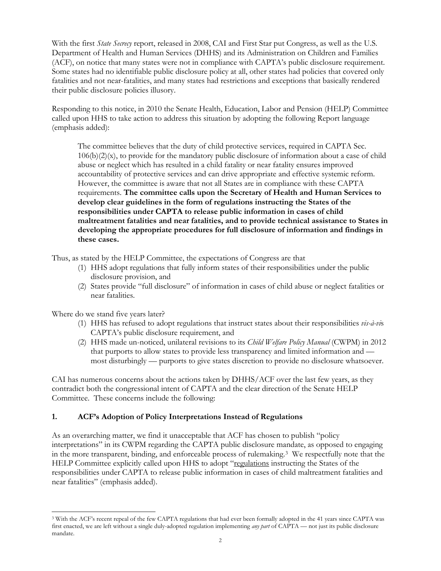With the first *State Secrecy* report, released in 2008, CAI and First Star put Congress, as well as the U.S. Department of Health and Human Services (DHHS) and its Administration on Children and Families (ACF), on notice that many states were not in compliance with CAPTA's public disclosure requirement. Some states had no identifiable public disclosure policy at all, other states had policies that covered only fatalities and not near-fatalities, and many states had restrictions and exceptions that basically rendered their public disclosure policies illusory.

Responding to this notice, in 2010 the Senate Health, Education, Labor and Pension (HELP) Committee called upon HHS to take action to address this situation by adopting the following Report language (emphasis added):

The committee believes that the duty of child protective services, required in CAPTA Sec.  $106(b)(2)(x)$ , to provide for the mandatory public disclosure of information about a case of child abuse or neglect which has resulted in a child fatality or near fatality ensures improved accountability of protective services and can drive appropriate and effective systemic reform. However, the committee is aware that not all States are in compliance with these CAPTA requirements. **The committee calls upon the Secretary of Health and Human Services to develop clear guidelines in the form of regulations instructing the States of the responsibilities under CAPTA to release public information in cases of child maltreatment fatalities and near fatalities, and to provide technical assistance to States in developing the appropriate procedures for full disclosure of information and findings in these cases.**

Thus, as stated by the HELP Committee, the expectations of Congress are that

- (1) HHS adopt regulations that fully inform states of their responsibilities under the public disclosure provision, and
- (2) States provide "full disclosure" of information in cases of child abuse or neglect fatalities or near fatalities.

Where do we stand five years later?

- (1) HHS has refused to adopt regulations that instruct states about their responsibilities *vis-à-vi*s CAPTA's public disclosure requirement, and
- (2) HHS made un-noticed, unilateral revisions to its *Child Welfare Policy Manual* (CWPM) in 2012 that purports to allow states to provide less transparency and limited information and most disturbingly — purports to give states discretion to provide no disclosure whatsoever.

CAI has numerous concerns about the actions taken by DHHS/ACF over the last few years, as they contradict both the congressional intent of CAPTA and the clear direction of the Senate HELP Committee. These concerns include the following:

#### **1. ACF's Adoption of Policy Interpretations Instead of Regulations**

As an overarching matter, we find it unacceptable that ACF has chosen to publish "policy interpretations" in its CWPM regarding the CAPTA public disclosure mandate, as opposed to engaging in the more transparent, binding, and enforceable process of rulemaking.[3](#page-2-0) We respectfully note that the HELP Committee explicitly called upon HHS to adopt "regulations instructing the States of the responsibilities under CAPTA to release public information in cases of child maltreatment fatalities and near fatalities" (emphasis added).

<span id="page-2-0"></span><sup>3</sup> With the ACF's recent repeal of the few CAPTA regulations that had ever been formally adopted in the 41 years since CAPTA was first enacted, we are left without a single duly-adopted regulation implementing *any part* of CAPTA — not just its public disclosure mandate.  $\overline{a}$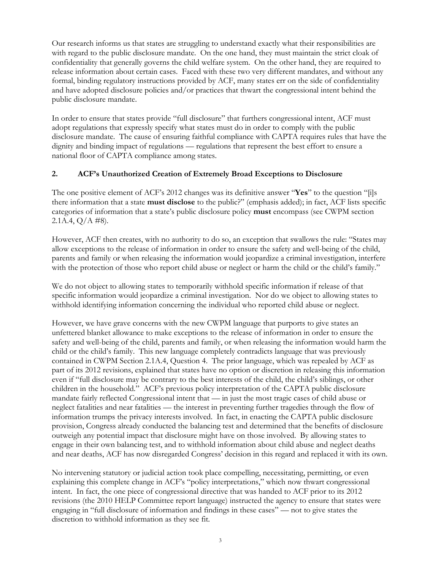Our research informs us that states are struggling to understand exactly what their responsibilities are with regard to the public disclosure mandate. On the one hand, they must maintain the strict cloak of confidentiality that generally governs the child welfare system. On the other hand, they are required to release information about certain cases. Faced with these two very different mandates, and without any formal, binding regulatory instructions provided by ACF, many states err on the side of confidentiality and have adopted disclosure policies and/or practices that thwart the congressional intent behind the public disclosure mandate.

In order to ensure that states provide "full disclosure" that furthers congressional intent, ACF must adopt regulations that expressly specify what states must do in order to comply with the public disclosure mandate. The cause of ensuring faithful compliance with CAPTA requires rules that have the dignity and binding impact of regulations — regulations that represent the best effort to ensure a national floor of CAPTA compliance among states.

#### **2. ACF's Unauthorized Creation of Extremely Broad Exceptions to Disclosure**

The one positive element of ACF's 2012 changes was its definitive answer "**Yes**" to the question "[i]s there information that a state **must disclose** to the public?" (emphasis added); in fact, ACF lists specific categories of information that a state's public disclosure policy **must** encompass (see CWPM section 2.1A.4,  $Q/A$  #8).

However, ACF then creates, with no authority to do so, an exception that swallows the rule: "States may allow exceptions to the release of information in order to ensure the safety and well-being of the child, parents and family or when releasing the information would jeopardize a criminal investigation, interfere with the protection of those who report child abuse or neglect or harm the child or the child's family."

We do not object to allowing states to temporarily withhold specific information if release of that specific information would jeopardize a criminal investigation. Nor do we object to allowing states to withhold identifying information concerning the individual who reported child abuse or neglect.

However, we have grave concerns with the new CWPM language that purports to give states an unfettered blanket allowance to make exceptions to the release of information in order to ensure the safety and well-being of the child, parents and family, or when releasing the information would harm the child or the child's family. This new language completely contradicts language that was previously contained in CWPM Section 2.1A.4, Question 4. The prior language, which was repealed by ACF as part of its 2012 revisions, explained that states have no option or discretion in releasing this information even if "full disclosure may be contrary to the best interests of the child, the child's siblings, or other children in the household." ACF's previous policy interpretation of the CAPTA public disclosure mandate fairly reflected Congressional intent that — in just the most tragic cases of child abuse or neglect fatalities and near fatalities — the interest in preventing further tragedies through the flow of information trumps the privacy interests involved. In fact, in enacting the CAPTA public disclosure provision, Congress already conducted the balancing test and determined that the benefits of disclosure outweigh any potential impact that disclosure might have on those involved. By allowing states to engage in their own balancing test, and to withhold information about child abuse and neglect deaths and near deaths, ACF has now disregarded Congress' decision in this regard and replaced it with its own.

No intervening statutory or judicial action took place compelling, necessitating, permitting, or even explaining this complete change in ACF's "policy interpretations," which now thwart congressional intent. In fact, the one piece of congressional directive that was handed to ACF prior to its 2012 revisions (the 2010 HELP Committee report language) instructed the agency to ensure that states were engaging in "full disclosure of information and findings in these cases" — not to give states the discretion to withhold information as they see fit.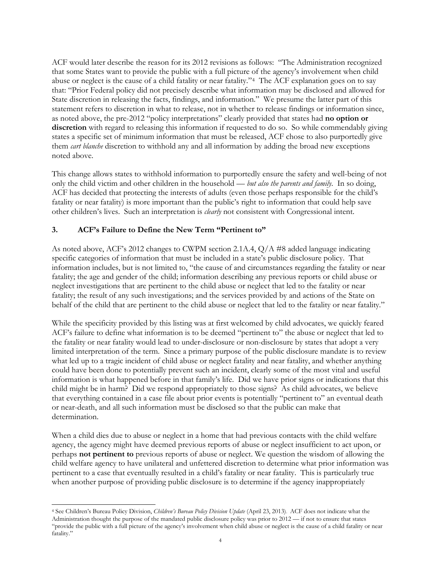ACF would later describe the reason for its 2012 revisions as follows: "The Administration recognized that some States want to provide the public with a full picture of the agency's involvement when child abuse or neglect is the cause of a child fatality or near fatality."[4](#page-4-0) The ACF explanation goes on to say that: "Prior Federal policy did not precisely describe what information may be disclosed and allowed for State discretion in releasing the facts, findings, and information." We presume the latter part of this statement refers to discretion in what to release, not in whether to release findings or information since, as noted above, the pre-2012 "policy interpretations" clearly provided that states had **no option or discretion** with regard to releasing this information if requested to do so. So while commendably giving states a specific set of minimum information that must be released, ACF chose to also purportedly give them *cart blanche* discretion to withhold any and all information by adding the broad new exceptions noted above.

This change allows states to withhold information to purportedly ensure the safety and well-being of not only the child victim and other children in the household — *but also the parents and family*. In so doing, ACF has decided that protecting the interests of adults (even those perhaps responsible for the child's fatality or near fatality) is more important than the public's right to information that could help save other children's lives. Such an interpretation is *clearly* not consistent with Congressional intent.

#### **3. ACF's Failure to Define the New Term "Pertinent to"**

 $\overline{a}$ 

As noted above, ACF's 2012 changes to CWPM section 2.1A.4, Q/A #8 added language indicating specific categories of information that must be included in a state's public disclosure policy. That information includes, but is not limited to, "the cause of and circumstances regarding the fatality or near fatality; the age and gender of the child; information describing any previous reports or child abuse or neglect investigations that are pertinent to the child abuse or neglect that led to the fatality or near fatality; the result of any such investigations; and the services provided by and actions of the State on behalf of the child that are pertinent to the child abuse or neglect that led to the fatality or near fatality."

While the specificity provided by this listing was at first welcomed by child advocates, we quickly feared ACF's failure to define what information is to be deemed "pertinent to" the abuse or neglect that led to the fatality or near fatality would lead to under-disclosure or non-disclosure by states that adopt a very limited interpretation of the term. Since a primary purpose of the public disclosure mandate is to review what led up to a tragic incident of child abuse or neglect fatality and near fatality, and whether anything could have been done to potentially prevent such an incident, clearly some of the most vital and useful information is what happened before in that family's life. Did we have prior signs or indications that this child might be in harm? Did we respond appropriately to those signs? As child advocates, we believe that everything contained in a case file about prior events is potentially "pertinent to" an eventual death or near-death, and all such information must be disclosed so that the public can make that determination.

When a child dies due to abuse or neglect in a home that had previous contacts with the child welfare agency, the agency might have deemed previous reports of abuse or neglect insufficient to act upon, or perhaps **not pertinent to** previous reports of abuse or neglect. We question the wisdom of allowing the child welfare agency to have unilateral and unfettered discretion to determine what prior information was pertinent to a case that eventually resulted in a child's fatality or near fatality. This is particularly true when another purpose of providing public disclosure is to determine if the agency inappropriately

<span id="page-4-0"></span><sup>4</sup> See Children's Bureau Policy Division, *Children's Bureau Policy Division Update* (April 23, 2013). ACF does not indicate what the Administration thought the purpose of the mandated public disclosure policy was prior to 2012 — if not to ensure that states "provide the public with a full picture of the agency's involvement when child abuse or neglect is the cause of a child fatality or near fatality."